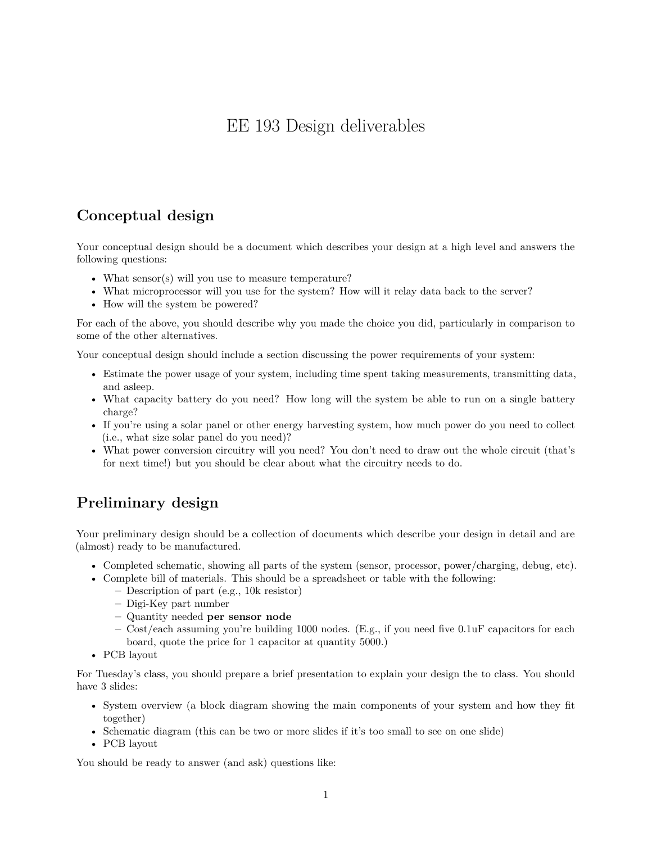## EE 193 Design deliverables

## **Conceptual design**

Your conceptual design should be a document which describes your design at a high level and answers the following questions:

- What sensor(s) will you use to measure temperature?
- What microprocessor will you use for the system? How will it relay data back to the server?
- How will the system be powered?

For each of the above, you should describe why you made the choice you did, particularly in comparison to some of the other alternatives.

Your conceptual design should include a section discussing the power requirements of your system:

- Estimate the power usage of your system, including time spent taking measurements, transmitting data, and asleep.
- What capacity battery do you need? How long will the system be able to run on a single battery charge?
- If you're using a solar panel or other energy harvesting system, how much power do you need to collect (i.e., what size solar panel do you need)?
- What power conversion circuitry will you need? You don't need to draw out the whole circuit (that's for next time!) but you should be clear about what the circuitry needs to do.

## **Preliminary design**

Your preliminary design should be a collection of documents which describe your design in detail and are (almost) ready to be manufactured.

- Completed schematic, showing all parts of the system (sensor, processor, power/charging, debug, etc).
- Complete bill of materials. This should be a spreadsheet or table with the following:
	- **–** Description of part (e.g., 10k resistor)
		- **–** Digi-Key part number
		- **–** Quantity needed **per sensor node**
		- **–** Cost/each assuming you're building 1000 nodes. (E.g., if you need five 0.1uF capacitors for each board, quote the price for 1 capacitor at quantity 5000.)
- PCB layout

For Tuesday's class, you should prepare a brief presentation to explain your design the to class. You should have 3 slides:

- System overview (a block diagram showing the main components of your system and how they fit together)
- Schematic diagram (this can be two or more slides if it's too small to see on one slide)
- PCB layout

You should be ready to answer (and ask) questions like: